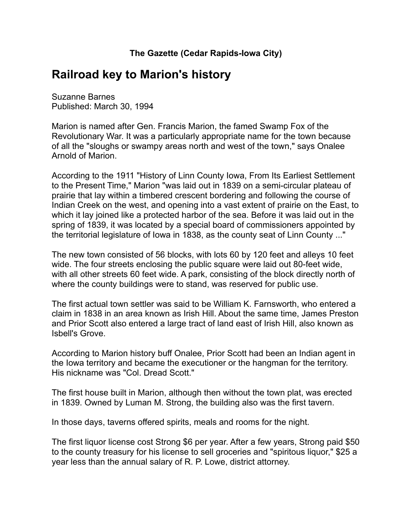## **Railroad key to Marion's history**

Suzanne Barnes Published: March 30, 1994

Marion is named after Gen. Francis Marion, the famed Swamp Fox of the Revolutionary War. It was a particularly appropriate name for the town because of all the "sloughs or swampy areas north and west of the town," says Onalee Arnold of Marion.

According to the 1911 "History of Linn County Iowa, From Its Earliest Settlement to the Present Time," Marion "was laid out in 1839 on a semi-circular plateau of prairie that lay within a timbered crescent bordering and following the course of Indian Creek on the west, and opening into a vast extent of prairie on the East, to which it lay joined like a protected harbor of the sea. Before it was laid out in the spring of 1839, it was located by a special board of commissioners appointed by the territorial legislature of Iowa in 1838, as the county seat of Linn County ..."

The new town consisted of 56 blocks, with lots 60 by 120 feet and alleys 10 feet wide. The four streets enclosing the public square were laid out 80-feet wide, with all other streets 60 feet wide. A park, consisting of the block directly north of where the county buildings were to stand, was reserved for public use.

The first actual town settler was said to be William K. Farnsworth, who entered a claim in 1838 in an area known as Irish Hill. About the same time, James Preston and Prior Scott also entered a large tract of land east of Irish Hill, also known as Isbell's Grove.

According to Marion history buff Onalee, Prior Scott had been an Indian agent in the Iowa territory and became the executioner or the hangman for the territory. His nickname was "Col. Dread Scott."

The first house built in Marion, although then without the town plat, was erected in 1839. Owned by Luman M. Strong, the building also was the first tavern.

In those days, taverns offered spirits, meals and rooms for the night.

The first liquor license cost Strong \$6 per year. After a few years, Strong paid \$50 to the county treasury for his license to sell groceries and "spiritous liquor," \$25 a year less than the annual salary of R. P. Lowe, district attorney.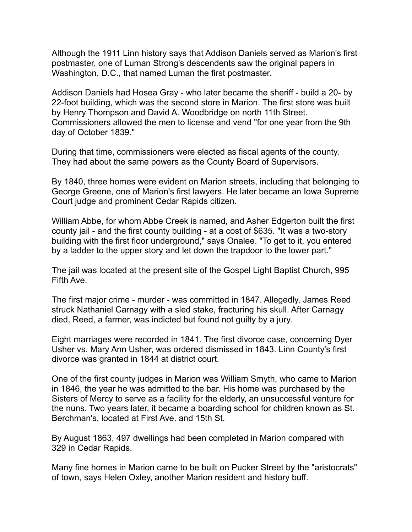Although the 1911 Linn history says that Addison Daniels served as Marion's first postmaster, one of Luman Strong's descendents saw the original papers in Washington, D.C., that named Luman the first postmaster.

Addison Daniels had Hosea Gray - who later became the sheriff - build a 20- by 22-foot building, which was the second store in Marion. The first store was built by Henry Thompson and David A. Woodbridge on north 11th Street. Commissioners allowed the men to license and vend "for one year from the 9th day of October 1839."

During that time, commissioners were elected as fiscal agents of the county. They had about the same powers as the County Board of Supervisors.

By 1840, three homes were evident on Marion streets, including that belonging to George Greene, one of Marion's first lawyers. He later became an Iowa Supreme Court judge and prominent Cedar Rapids citizen.

William Abbe, for whom Abbe Creek is named, and Asher Edgerton built the first county jail - and the first county building - at a cost of \$635. "It was a two-story building with the first floor underground," says Onalee. "To get to it, you entered by a ladder to the upper story and let down the trapdoor to the lower part."

The jail was located at the present site of the Gospel Light Baptist Church, 995 Fifth Ave.

The first major crime - murder - was committed in 1847. Allegedly, James Reed struck Nathaniel Carnagy with a sled stake, fracturing his skull. After Carnagy died, Reed, a farmer, was indicted but found not guilty by a jury.

Eight marriages were recorded in 1841. The first divorce case, concerning Dyer Usher vs. Mary Ann Usher, was ordered dismissed in 1843. Linn County's first divorce was granted in 1844 at district court.

One of the first county judges in Marion was William Smyth, who came to Marion in 1846, the year he was admitted to the bar. His home was purchased by the Sisters of Mercy to serve as a facility for the elderly, an unsuccessful venture for the nuns. Two years later, it became a boarding school for children known as St. Berchman's, located at First Ave. and 15th St.

By August 1863, 497 dwellings had been completed in Marion compared with 329 in Cedar Rapids.

Many fine homes in Marion came to be built on Pucker Street by the "aristocrats" of town, says Helen Oxley, another Marion resident and history buff.